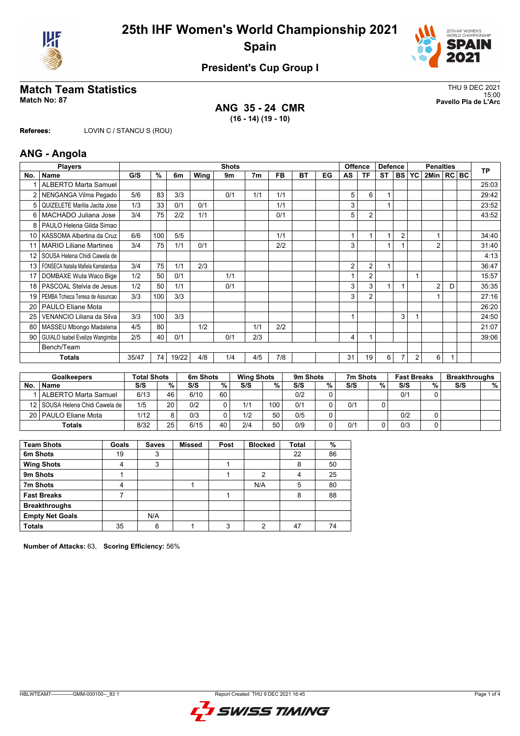



## **President's Cup Group I**

# THU 9 DEC 2021<br>Match No: 87<br>Pavello Pla de L'Arc

**ANG 35 - 24 CMR (16 - 14) (19 - 10)**

15:00 **Match No: 87 Pavello Pla de L'Arc**

**Referees:** LOVIN C / STANCU S (ROU)

### **ANG - Angola**

| <b>Players</b><br><b>Shots</b> |                                    |       |     |       |      |     |                | <b>Offence</b> | <b>Defence</b> |    | <b>Penalties</b> |                |                |                | TP           |                |   |  |       |
|--------------------------------|------------------------------------|-------|-----|-------|------|-----|----------------|----------------|----------------|----|------------------|----------------|----------------|----------------|--------------|----------------|---|--|-------|
| No.                            | <b>Name</b>                        | G/S   | %   | 6m    | Wing | 9m  | 7 <sub>m</sub> | <b>FB</b>      | <b>BT</b>      | EG | AS               | ΤF             | <b>ST</b>      |                | <b>BS YC</b> | 2Min   RC   BC |   |  |       |
|                                | <b>ALBERTO Marta Samuel</b>        |       |     |       |      |     |                |                |                |    |                  |                |                |                |              |                |   |  | 25:03 |
|                                | NENGANGA Vilma Pegado              | 5/6   | 83  | 3/3   |      | 0/1 | 1/1            | 1/1            |                |    | 5                | 6              | 1              |                |              |                |   |  | 29:42 |
| 5                              | QUIZELETE Marilia Jacita Jose      | 1/3   | 33  | 0/1   | 0/1  |     |                | 1/1            |                |    | 3                |                |                |                |              |                |   |  | 23:52 |
| 6                              | MACHADO Juliana Jose               | 3/4   | 75  | 2/2   | 1/1  |     |                | 0/1            |                |    | 5                | $\overline{2}$ |                |                |              |                |   |  | 43:52 |
| 8                              | PAULO Helena Gilda Simao           |       |     |       |      |     |                |                |                |    |                  |                |                |                |              |                |   |  |       |
| 10 l                           | KASSOMA Albertina da Cruz          | 6/6   | 100 | 5/5   |      |     |                | 1/1            |                |    |                  |                | $\overline{ }$ | $\overline{2}$ |              |                |   |  | 34:40 |
|                                | <b>MARIO Liliane Martines</b>      | 3/4   | 75  | 1/1   | 0/1  |     |                | 2/2            |                |    | 3                |                | $\overline{ }$ |                |              | $\overline{2}$ |   |  | 31:40 |
| 12                             | SOUSA Helena Chidi Cawela de       |       |     |       |      |     |                |                |                |    |                  |                |                |                |              |                |   |  | 4:13  |
| 13                             | FONSECA Natalia Mafiela Kamalandua | 3/4   | 75  | 1/1   | 2/3  |     |                |                |                |    | 2                | $\overline{2}$ | 1              |                |              |                |   |  | 36:47 |
| 17                             | DOMBAXE Wuta Waco Bige             | 1/2   | 50  | 0/1   |      | 1/1 |                |                |                |    |                  | $\overline{2}$ |                |                | 1            |                |   |  | 15:57 |
| 18                             | PASCOAL Stelvia de Jesus           | 1/2   | 50  | 1/1   |      | 0/1 |                |                |                |    | 3                | 3              | $\overline{1}$ |                |              | $\overline{2}$ | D |  | 35:35 |
| 19                             | PEMBA Tchieza Teresa de Assuncao   | 3/3   | 100 | 3/3   |      |     |                |                |                |    | 3                | 2              |                |                |              |                |   |  | 27:16 |
| 20                             | <b>PAULO Eliane Mota</b>           |       |     |       |      |     |                |                |                |    |                  |                |                |                |              |                |   |  | 26:20 |
| 25                             | VENANCIO Liliana da Silva          | 3/3   | 100 | 3/3   |      |     |                |                |                |    |                  |                |                | 3              |              |                |   |  | 24:50 |
| 80                             | MASSEU Mbongo Madalena             | 4/5   | 80  |       | 1/2  |     | 1/1            | 2/2            |                |    |                  |                |                |                |              |                |   |  | 21:07 |
| 90                             | GUIALO Isabel Evelize Wangimba     | 2/5   | 40  | 0/1   |      | 0/1 | 2/3            |                |                |    | 4                |                |                |                |              |                |   |  | 39:06 |
|                                | Bench/Team                         |       |     |       |      |     |                |                |                |    |                  |                |                |                |              |                |   |  |       |
|                                | <b>Totals</b>                      | 35/47 | 74  | 19/22 | 4/8  | 1/4 | 4/5            | 7/8            |                |    | 31               | 19             | 6              |                | 2            | 6              |   |  |       |

|     | <b>Goalkeepers</b>                | <b>Total Shots</b> |    | 6m Shots |    | <b>Wing Shots</b> |     | 9 <sub>m</sub> Shots |   | 7m Shots |   | <b>Fast Breaks</b> |    | <b>Breakthroughs</b> |   |
|-----|-----------------------------------|--------------------|----|----------|----|-------------------|-----|----------------------|---|----------|---|--------------------|----|----------------------|---|
| No. | <b>Name</b>                       | S/S                | %  | S/S      | %  | S/S               | %   | S/S                  | % | S/S      | % | S/S                | %. | S/S                  | % |
|     | ALBERTO Marta Samuel              | 6/13               | 46 | 6/10     | 60 |                   |     | 0/2                  |   |          |   | 0/1                |    |                      |   |
|     | 12   SOUSA Helena Chidi Cawela de | 1/5                | 20 | 0/2      |    | 1/1               | 100 | 0/1                  |   | 0/1      |   |                    |    |                      |   |
|     | 20   PAULO Eliane Mota            | 1/12               | Q  | 0/3      |    | 1/2               | 50  | 0/5                  |   |          |   | 0/2                |    |                      |   |
|     | Totals                            | 8/32               | 25 | 6/15     | 40 | 2/4               | 50  | 0/9                  |   | 0/1      |   | 0/3                |    |                      |   |

| <b>Team Shots</b>      | Goals | <b>Saves</b> | Missed | Post | <b>Blocked</b> | Total | %  |
|------------------------|-------|--------------|--------|------|----------------|-------|----|
| 6m Shots               | 19    | 3            |        |      |                | 22    | 86 |
| <b>Wing Shots</b>      |       | 3            |        |      |                | 8     | 50 |
| 9m Shots               |       |              |        |      | 2              | 4     | 25 |
| 7m Shots               | 4     |              |        |      | N/A            | 5     | 80 |
| <b>Fast Breaks</b>     |       |              |        |      |                | 8     | 88 |
| <b>Breakthroughs</b>   |       |              |        |      |                |       |    |
| <b>Empty Net Goals</b> |       | N/A          |        |      |                |       |    |
| <b>Totals</b>          | 35    | 6            |        | 3    | 2              | 47    | 74 |

**Number of Attacks:** 63, **Scoring Efficiency:** 56%

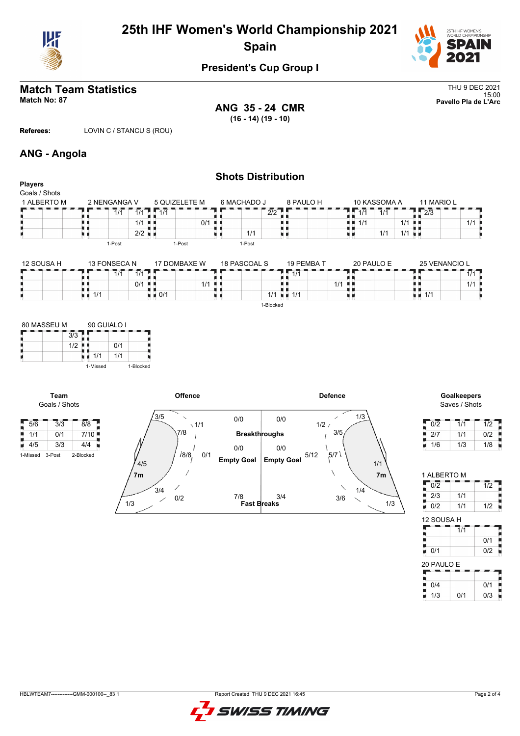

# **25th IHF Women's World Championship 2021 Spain**



## **President's Cup Group I**

#### **Match Team Statistics** Thus a statistics Thus a statistic statistic statistics of the statistic statistics of the statistic statistic statistic statistic statistic statistic statistic statistic statistic statistic statist 15:00 **Match No: 87 Pavello Pla de L'Arc**

**ANG 35 - 24 CMR (16 - 14) (19 - 10)**

**Referees:** LOVIN C / STANCU S (ROU)

### **ANG - Angola**

| <b>Players</b>               |                 |                      |                      | <b>Shots Distribution</b> |                                                  |              |              |                                 |     |
|------------------------------|-----------------|----------------------|----------------------|---------------------------|--------------------------------------------------|--------------|--------------|---------------------------------|-----|
| Goals / Shots<br>1 ALBERTO M | 2 NENGANGA V    |                      | 5 QUIZELETE M        | 6 MACHADO J               | 8 PAULO H                                        |              | 10 KASSOMA A | 11 MARIO L                      |     |
|                              | 1/1             | $1 - 1/1$<br>1/1     |                      |                           | 2/2                                              | 1/1          | 1/1          | $\frac{1}{2}$ $\frac{1}{2}$ 2/3 |     |
|                              |                 | $1/1$ $\blacksquare$ | $0/1$ $\blacksquare$ |                           |                                                  | 1/1<br>. .   | 1/1          |                                 | 1/1 |
|                              |                 | $2/2$ $\blacksquare$ |                      | 1/1                       |                                                  |              | 1/1          | $1/1$ $\blacksquare$            |     |
|                              | 1-Post          |                      | 1-Post               | 1-Post                    |                                                  |              |              |                                 |     |
| 12 SOUSA H                   | 13 FONSECA N    |                      | 17 DOMBAXE W         | 18 PASCOAL S              | 19 PEMBA T                                       |              | 20 PAULO E   | 25 VENANCIO L                   |     |
|                              | 1/1             | $1/1$ $\Box$         |                      |                           | 1/1                                              |              |              |                                 | 1/1 |
|                              |                 | 0/1<br>. .           | $1/1$ $\blacksquare$ |                           |                                                  | 1/1<br>- 8 8 |              |                                 | 1/1 |
|                              | $\overline{AB}$ | $\bigcap$            |                      |                           | $\overline{AB}$<br>$\overline{A}$ $\overline{A}$ |              |              | $\overline{AB}$                 |     |

m e

1/1 **1/1** 1-Blocked

m e

| 80 MASSEU M |     | 90 GUIALO I |     |           |  |  |  |  |
|-------------|-----|-------------|-----|-----------|--|--|--|--|
|             | 3/3 |             |     |           |  |  |  |  |
|             | 1/2 |             | 0/1 |           |  |  |  |  |
|             |     | 1/1         | 1/1 |           |  |  |  |  |
|             |     | 1-Missed    |     | 1-Blocked |  |  |  |  |

**Team**

 $4/5$  3/3

1)<br>11 1/1

■ 0/1



| <b>Goalkeepers</b> |  |
|--------------------|--|
| Saves / Shots      |  |

11<br>11/11<br>11/11

| 0/2 | 1/1 | 1/2 |
|-----|-----|-----|
| 2/7 | 1/1 | 0/2 |
| 1/6 | 1/3 | 1/8 |

| į<br>2/3             | 1/1                         |          |
|----------------------|-----------------------------|----------|
| 0/2                  | 1/1                         | 1/2      |
| 12 SOUSA H           |                             |          |
|                      | $\overline{1}/\overline{1}$ |          |
|                      |                             | 0/1<br>I |
| 0/1                  |                             | Į<br>0/2 |
| 20 PAULO E           |                             |          |
|                      |                             |          |
| ים<br>בוחות ה<br>0/4 |                             | 0/1<br>l |
| 1/3                  | 0/1                         | 0/3      |

 $\frac{0}{2}$   $\frac{0}{2}$   $\frac{1}{2}$ 

HBLWTEAM7-------------GMM-000100--\_83 1 Report Created THU 9 DEC 2021 16:45

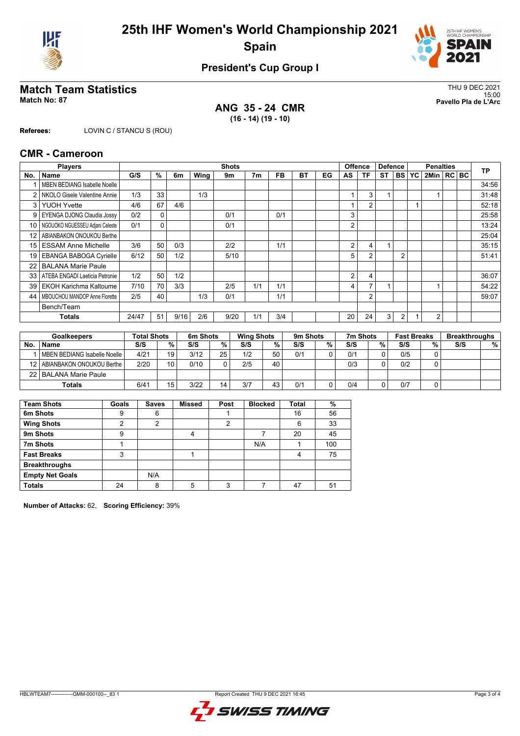



## **President's Cup Group I**

# THU 9 DEC 2021<br>Match No: 87<br>Pavello Pla de L'Arc

**ANG 35 - 24 CMR (16 - 14) (19 - 10)**

15:00 **Match No: 87 Pavello Pla de L'Arc**

**Referees:** LOVIN C / STANCU S (ROU)

#### **CMR - Cameroon**

|                 | <b>Players</b>                      |       |    |      |      | <b>Shots</b> |                |     |    |    |                | <b>Defence</b><br><b>Offence</b> |                |                | <b>Penalties</b> |                |  |  | <b>TP</b> |
|-----------------|-------------------------------------|-------|----|------|------|--------------|----------------|-----|----|----|----------------|----------------------------------|----------------|----------------|------------------|----------------|--|--|-----------|
| No.             | Name                                | G/S   | %  | 6m   | Wing | 9m           | 7 <sub>m</sub> | FB  | ВT | EG | AS             | ΤF                               | <b>ST</b>      | <b>BS</b>      | IYC.             | 2Min   RC   BC |  |  |           |
|                 | <b>MBEN BEDIANG Isabelle Noelle</b> |       |    |      |      |              |                |     |    |    |                |                                  |                |                |                  |                |  |  | 34:56     |
| 2               | NKOLO Gisele Valentine Annie        | 1/3   | 33 |      | 1/3  |              |                |     |    |    |                | 3                                |                |                |                  |                |  |  | 31:48     |
| 3               | <b>YUOH Yvette</b>                  | 4/6   | 67 | 4/6  |      |              |                |     |    |    |                | $\overline{2}$                   |                |                |                  |                |  |  | 52:18     |
| 9               | EYENGA DJONG Claudia Jossy          | 0/2   | 0  |      |      | 0/1          |                | 0/1 |    |    | 3              |                                  |                |                |                  |                |  |  | 25:58     |
| 10 <sup>1</sup> | NGOUOKO NGUESSEU Adjani Celeste     | 0/1   | 0  |      |      | 0/1          |                |     |    |    | 2              |                                  |                |                |                  |                |  |  | 13:24     |
| 12 <sup>2</sup> | ABIANBAKON ONOUKOU Berthe           |       |    |      |      |              |                |     |    |    |                |                                  |                |                |                  |                |  |  | 25:04     |
| 15              | <b>ESSAM Anne Michelle</b>          | 3/6   | 50 | 0/3  |      | 2/2          |                | 1/1 |    |    | $\overline{2}$ | 4                                | $\overline{1}$ |                |                  |                |  |  | 35:15     |
| 19              | <b>EBANGA BABOGA Cyrielle</b>       | 6/12  | 50 | 1/2  |      | 5/10         |                |     |    |    | 5              | $\overline{2}$                   |                | $\overline{2}$ |                  |                |  |  | 51:41     |
| 22              | <b>BALANA Marie Paule</b>           |       |    |      |      |              |                |     |    |    |                |                                  |                |                |                  |                |  |  |           |
| 33              | ATEBA ENGADI Laeticia Petronie      | 1/2   | 50 | 1/2  |      |              |                |     |    |    | $\overline{2}$ | 4                                |                |                |                  |                |  |  | 36:07     |
| 39              | <b>EKOH Karichma Kaltoume</b>       | 7/10  | 70 | 3/3  |      | 2/5          | 1/1            | 1/1 |    |    | 4              | $\overline{ }$                   |                |                |                  |                |  |  | 54:22     |
| 44              | MBOUCHOU MANDOP Anne Florette       | 2/5   | 40 |      | 1/3  | 0/1          |                | 1/1 |    |    |                | $\overline{2}$                   |                |                |                  |                |  |  | 59:07     |
|                 | Bench/Team                          |       |    |      |      |              |                |     |    |    |                |                                  |                |                |                  |                |  |  |           |
|                 | Totals                              | 24/47 | 51 | 9/16 | 2/6  | 9/20         | 1/1            | 3/4 |    |    | 20             | 24                               | 3              | $\overline{2}$ |                  | 2              |  |  |           |
|                 |                                     |       |    |      |      |              |                |     |    |    |                |                                  |                |                |                  |                |  |  |           |

| <b>Goalkeepers</b> |                                | <b>Total Shots</b> |    | 6m Shots |    | <b>Wing Shots</b> |    | 9m Shots |   | 7m Shots |   | <b>Fast Breaks</b> |   | <b>Breakthroughs</b> |   |
|--------------------|--------------------------------|--------------------|----|----------|----|-------------------|----|----------|---|----------|---|--------------------|---|----------------------|---|
| No.                | <b>Name</b>                    | S/S                | %  | S/S      | %  | S/S               | %  | S/S      | % | S/S      | % | S/S                | % | S/S                  | % |
|                    | MBEN BEDIANG Isabelle Noelle   | 4/21               | 19 | 3/12     | 25 | 1/2               | 50 | 0/1      |   | 0/1      |   | 0/5                |   |                      |   |
|                    | 12   ABIANBAKON ONOUKOU Berthe | 2/20               | 10 | 0/10     |    | 2/5               | 40 |          |   | 0/3      | ◠ | 0/2                |   |                      |   |
|                    | 22   BALANA Marie Paule        |                    |    |          |    |                   |    |          |   |          |   |                    |   |                      |   |
|                    | <b>Totals</b>                  | 6/41               | 15 | 3/22     |    | 3/7               | 43 | 0/1      |   | 0/4      |   | 0/7                |   |                      |   |

| <b>Team Shots</b>      | Goals | <b>Saves</b>   | <b>Missed</b> | Post | <b>Blocked</b> | <b>Total</b> | $\%$ |
|------------------------|-------|----------------|---------------|------|----------------|--------------|------|
| 6m Shots               | 9     | 6              |               |      |                | 16           | 56   |
| <b>Wing Shots</b>      | 2     | $\overline{2}$ |               | 2    |                | 6            | 33   |
| 9m Shots               | 9     |                | 4             |      |                | 20           | 45   |
| 7m Shots               |       |                |               |      | N/A            |              | 100  |
| <b>Fast Breaks</b>     | 3     |                |               |      |                | 4            | 75   |
| <b>Breakthroughs</b>   |       |                |               |      |                |              |      |
| <b>Empty Net Goals</b> |       | N/A            |               |      |                |              |      |
| <b>Totals</b>          | 24    | 8              | 5             | 3    |                | 47           | 51   |

**Number of Attacks:** 62, **Scoring Efficiency:** 39%